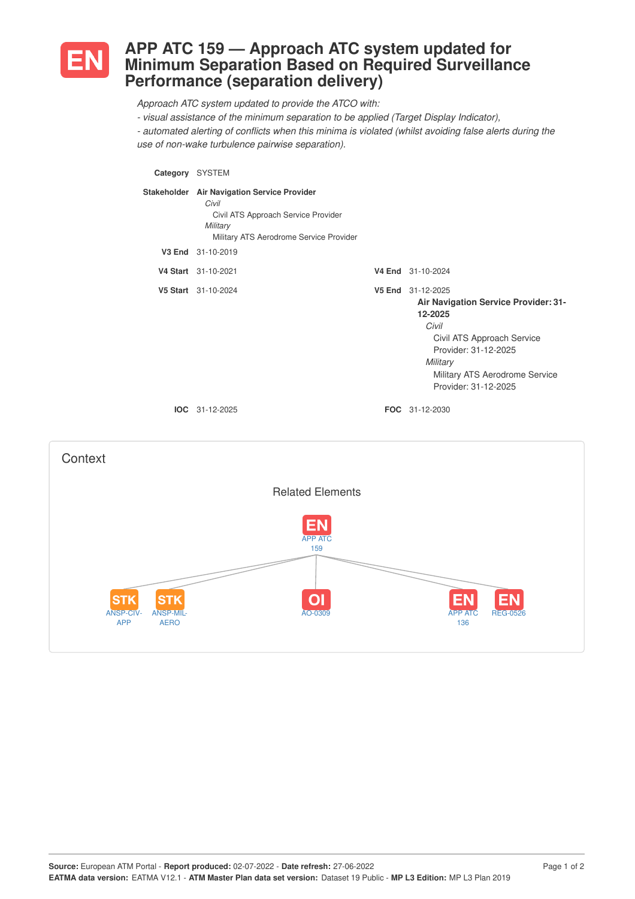

ANSP-CIV-APP

**STK** 

ANSP-MIL-AERO

**STK** 

## **APP ATC 159 — Approach ATC system updated for Minimum Separation Based on Required Surveillance Performance (separation delivery)**

*Approach ATC system updated to provide the ATCO with:*

*- visual assistance of the minimum separation to be applied (Target Display Indicator), - automated alerting of conflicts when this minima is violated (whilst avoiding false alerts during the use of non-wake turbulence pairwise separation).*



AO-0309 APP ATC

136

REG-0526